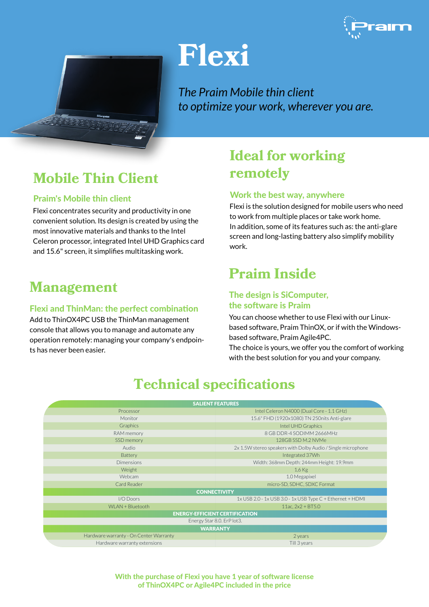

# **Flexi**

*The Praim Mobile thin client to optimize your work, wherever you are.*

# **Mobile Thin Client**

#### Praim's Mobile thin client

Flexi concentrates security and productivity in one convenient solution. Its design is created by using the most innovative materials and thanks to the Intel Celeron processor, integrated Intel UHD Graphics card and 15.6" screen, it simplifies multitasking work.

### **Management**

#### Flexi and ThinMan: the perfect combination

Add to ThinOX4PC USB the ThinMan management console that allows you to manage and automate any operation remotely: managing your company's endpoints has never been easier.

## **Ideal for working remotely**

#### Work the best way, anywhere

Flexi is the solution designed for mobile users who need to work from multiple places or take work home. In addition, some of its features such as: the anti-glare screen and long-lasting battery also simplify mobility work.

### **Praim Inside**

#### The design is SiComputer, the software is Praim

You can choose whether to use Flexi with our Linuxbased software, Praim ThinOX, or if with the Windowsbased software, Praim Agile4PC.

The choice is yours, we offer you the comfort of working with the best solution for you and your company.

| <b>SALIENT FEATURES</b>                |                                                              |
|----------------------------------------|--------------------------------------------------------------|
| Processor                              | Intel Celeron N4000 (Dual Core - 1.1 GHz)                    |
| Monitor                                | 15.6" FHD (1920x1080) TN 250nits Anti-glare                  |
| Graphics                               | Intel UHD Graphics                                           |
| RAM memory                             | 8 GB DDR-4 SODIMM 2666MHz                                    |
| SSD memory                             | 128GB SSD M.2 NVMe                                           |
| Audio                                  | 2x 1.5W stereo speakers with Dolby Audio / Single microphone |
| <b>Battery</b>                         | Integrated 37Wh                                              |
| <b>Dimensions</b>                      | Width: 368mm Depth: 244mm Height: 19.9mm                     |
| Weight                                 | $1,6$ Kg                                                     |
| Webcam                                 | 1.0 Megapixel                                                |
| Card Reader                            | micro-SD, SDHC, SDXC Format                                  |
| <b>CONNECTIVITY</b>                    |                                                              |
| I/O Doors                              | 1x USB 2.0 - 1x USB 3.0 - 1x USB Type C + Ethernet + HDMI    |
| WLAN + Bluetooth                       | 11ac, $2x2 + BT5.0$                                          |
| <b>ENERGY-EFFICIENT CERTIFICATION</b>  |                                                              |
| Energy Star 8.0. ErP lot3.             |                                                              |
| <b>WARRANTY</b>                        |                                                              |
| Hardware warranty - On Center Warranty | 2 years                                                      |
| Hardware warranty extensions           | Till 3 years                                                 |

### **Technical specifications**

With the purchase of Flexi you have 1 year of software license of ThinOX4PC or Agile4PC included in the price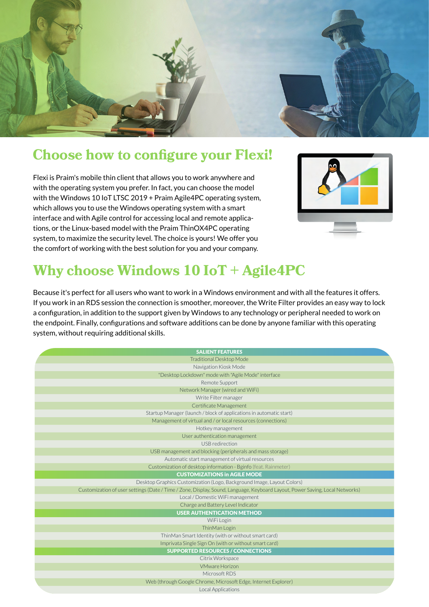

### **Choose how to configure your Flexi!**

Flexi is Praim's mobile thin client that allows you to work anywhere and with the operating system you prefer. In fact, you can choose the model with the Windows 10 IoT LTSC 2019 + Praim Agile4PC operating system, which allows you to use the Windows operating system with a smart interface and with Agile control for accessing local and remote applications, or the Linux-based model with the Praim ThinOX4PC operating system, to maximize the security level. The choice is yours! We offer you the comfort of working with the best solution for you and your company.



# **Why choose Windows 10 IoT + Agile4PC**

Because it's perfect for all users who want to work in a Windows environment and with all the features it offers. If you work in an RDS session the connection is smoother, moreover, the Write Filter provides an easy way to lock a configuration, in addition to the support given by Windows to any technology or peripheral needed to work on the endpoint. Finally, configurations and software additions can be done by anyone familiar with this operating system, without requiring additional skills.

| <b>SALIENT FEATURES</b>                                                                                                      |  |
|------------------------------------------------------------------------------------------------------------------------------|--|
| <b>Traditional Desktop Mode</b>                                                                                              |  |
| Navigation Kiosk Mode                                                                                                        |  |
| "Desktop Lockdown" mode with "Agile Mode" interface                                                                          |  |
| Remote Support                                                                                                               |  |
| Network Manager (wired and WiFi)                                                                                             |  |
| Write Filter manager                                                                                                         |  |
| Certificate Management                                                                                                       |  |
| Startup Manager (launch / block of applications in automatic start)                                                          |  |
| Management of virtual and / or local resources (connections)                                                                 |  |
| Hotkey management                                                                                                            |  |
| User authentication management                                                                                               |  |
| USB redirection                                                                                                              |  |
| USB management and blocking (peripherals and mass storage)                                                                   |  |
| Automatic start management of virtual resources                                                                              |  |
| Customization of desktop information - Bginfo (feat. Rainmeter)                                                              |  |
| <b>CUSTOMIZATIONS in AGILE MODE</b>                                                                                          |  |
|                                                                                                                              |  |
| Desktop Graphics Customization (Logo, Background Image, Layout Colors)                                                       |  |
| Customization of user settings (Date / Time / Zone, Display, Sound, Language, Keyboard Layout, Power Saving, Local Networks) |  |
| Local / Domestic WiFi management                                                                                             |  |
| Charge and Battery Level Indicator                                                                                           |  |
| <b>USER AUTHENTICATION METHOD</b>                                                                                            |  |
| WiFi Login                                                                                                                   |  |
| ThinMan Login                                                                                                                |  |
| ThinMan Smart Identity (with or without smart card)                                                                          |  |
| Imprivata Single Sign On (with or without smart card)                                                                        |  |
| <b>SUPPORTED RESOURCES / CONNECTIONS</b>                                                                                     |  |
| Citrix Workspace                                                                                                             |  |
| <b>VMware Horizon</b>                                                                                                        |  |
| Microsoft RDS                                                                                                                |  |
| Web (through Google Chrome, Microsoft Edge, Internet Explorer)<br><b>Local Applications</b>                                  |  |